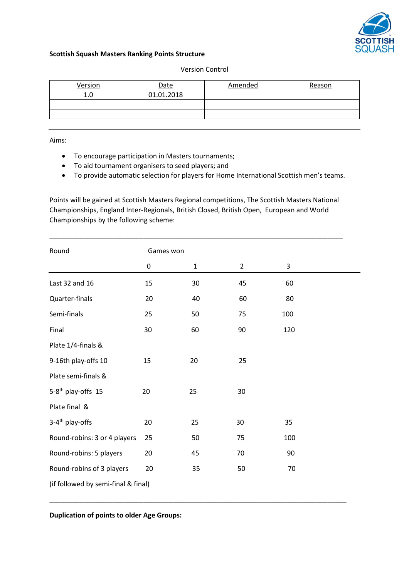

## **Scottish Squash Masters Ranking Points Structure**

## Version Control

| Version | <b>Date</b> | Amended | Reason |
|---------|-------------|---------|--------|
| 1.0     | 01.01.2018  |         |        |
|         |             |         |        |
|         |             |         |        |

Aims:

- To encourage participation in Masters tournaments;
- To aid tournament organisers to seed players; and
- To provide automatic selection for players for Home International Scottish men's teams.

Points will be gained at Scottish Masters Regional competitions, The Scottish Masters National Championships, England Inter-Regionals, British Closed, British Open, European and World Championships by the following scheme:

\_\_\_\_\_\_\_\_\_\_\_\_\_\_\_\_\_\_\_\_\_\_\_\_\_\_\_\_\_\_\_\_\_\_\_\_\_\_\_\_\_\_\_\_\_\_\_\_\_\_\_\_\_\_\_\_\_\_\_\_\_\_\_\_\_\_\_\_\_\_\_\_\_\_\_\_\_\_

| Round                               | Games won |              |                |     |  |
|-------------------------------------|-----------|--------------|----------------|-----|--|
|                                     | 0         | $\mathbf{1}$ | $\overline{2}$ | 3   |  |
| Last 32 and 16                      | 15        | 30           | 45             | 60  |  |
| Quarter-finals                      | 20        | 40           | 60             | 80  |  |
| Semi-finals                         | 25        | 50           | 75             | 100 |  |
| Final                               | 30        | 60           | 90             | 120 |  |
| Plate 1/4-finals &                  |           |              |                |     |  |
| 9-16th play-offs 10                 | 15        | 20           | 25             |     |  |
| Plate semi-finals &                 |           |              |                |     |  |
| 5-8 <sup>th</sup> play-offs 15      | 20        | 25           | 30             |     |  |
| Plate final &                       |           |              |                |     |  |
| 3-4 <sup>th</sup> play-offs         | 20        | 25           | 30             | 35  |  |
| Round-robins: 3 or 4 players        | 25        | 50           | 75             | 100 |  |
| Round-robins: 5 players             | 20        | 45           | 70             | 90  |  |
| Round-robins of 3 players           | 20        | 35           | 50             | 70  |  |
| (if followed by semi-final & final) |           |              |                |     |  |

\_\_\_\_\_\_\_\_\_\_\_\_\_\_\_\_\_\_\_\_\_\_\_\_\_\_\_\_\_\_\_\_\_\_\_\_\_\_\_\_\_\_\_\_\_\_\_\_\_\_\_\_\_\_\_\_\_\_\_\_\_\_\_\_\_\_\_\_\_\_\_\_\_\_\_\_\_\_\_

**Duplication of points to older Age Groups:**